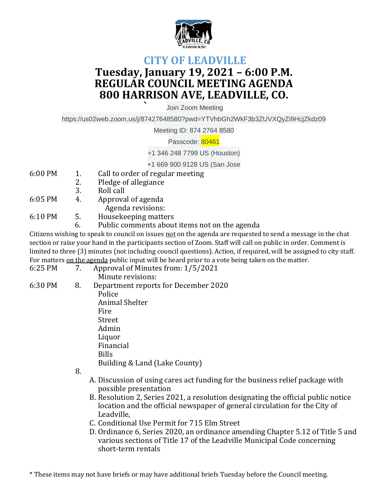

## **CITY OF LEADVILLE Tuesday, January 19, 2021 – 6:00 P.M. REGULAR COUNCIL MEETING AGENDA 800 HARRISON AVE, LEADVILLE, CO.**

**`** Join Zoom Meeting

https://us02web.zoom.us/j/87427648580?pwd=YTVhbGh2WkF3b3ZUVXQyZi9HcjZkdz09

Meeting ID: 874 2764 8580

Passcode: 80461

+1 346 248 7799 US (Houston)

+1 669 900 9128 US (San Jose

- 6:00 PM 1. Call to order of regular meeting
	- 2. Pledge of allegiance
	- 3. Roll call
- 6:05 PM 4. Approval of agenda
	- Agenda revisions:
- 6:10 PM 5. Housekeeping matters
	- 6. Public comments about items not on the agenda

Citizens wishing to speak to council on issues not on the agenda are requested to send a message in the chat section or raise your hand in the participants section of Zoom. Staff will call on public in order. Comment is limited to three (3) minutes (not including council questions). Action, if required, will be assigned to city staff. For matters <u>on the agenda</u> public input will be heard prior to a vote being taken on the matter.<br> $6.25 \text{ DM}$ 

| 6:25 PM | 7. | Approval of Minutes from: 1/5/2021   |
|---------|----|--------------------------------------|
|         |    | Minute revisions:                    |
| 6:30 PM | 8. | Department reports for December 2020 |
|         |    | Police                               |
|         |    | Animal Shelter                       |
|         |    | Fire                                 |
|         |    | Street                               |
|         |    | Admin                                |
|         |    | Liquor                               |
|         |    | Financial                            |
|         |    | <b>Bills</b>                         |
|         |    | Building & Land (Lake County)        |
|         |    |                                      |

8.

- A. Discussion of using cares act funding for the business relief package with possible presentation
- B. Resolution 2, Series 2021, a resolution designating the official public notice location and the official newspaper of general circulation for the City of Leadville,
- C. Conditional Use Permit for 715 Elm Street
- D. Ordinance 6, Series 2020, an ordinance amending Chapter 5.12 of Title 5 and various sections of Title 17 of the Leadville Municipal Code concerning short-term rentals

\* These items may not have briefs or may have additional briefs Tuesday before the Council meeting.